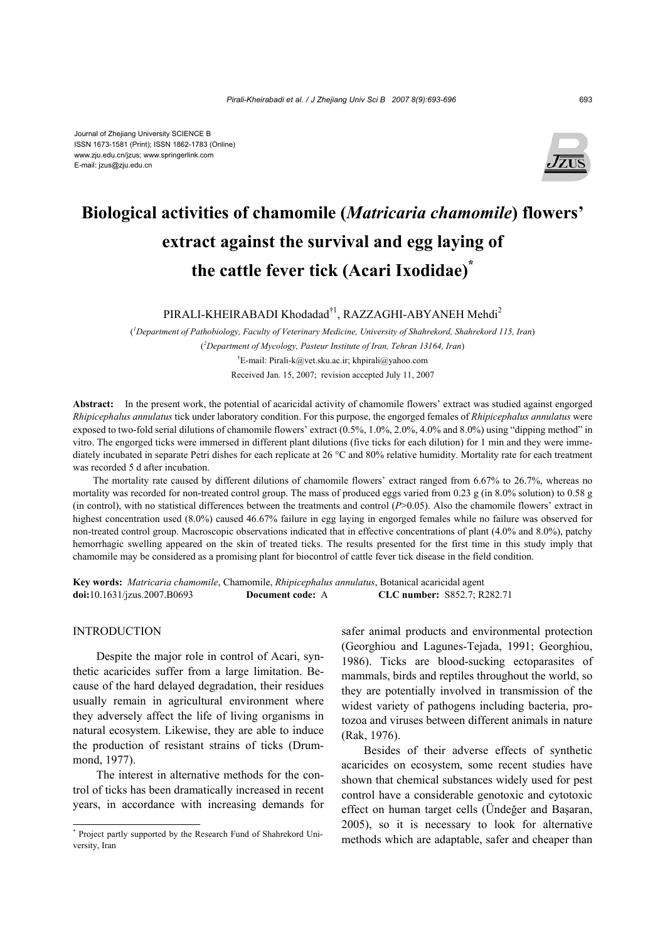

# **Biological activities of chamomile (***Matricaria chamomile***) flowers' extract against the survival and egg laying of the cattle fever tick (Acari Ixodidae)\***

PIRALI-KHEIRABADI Khodadad<sup>†1</sup>, RAZZAGHI-ABYANEH Mehdi<sup>2</sup>

( *1 Department of Pathobiology, Faculty of Veterinary Medicine, University of Shahrekord, Shahrekord 115, Iran*) ( *2 Department of Mycology, Pasteur Institute of Iran, Tehran 13164, Iran*) † E-mail: Pirali-k@vet.sku.ac.ir; khpirali@yahoo.com

Received Jan. 15, 2007; revision accepted July 11, 2007

**Abstract:** In the present work, the potential of acaricidal activity of chamomile flowers' extract was studied against engorged *Rhipicephalus annulatus* tick under laboratory condition. For this purpose, the engorged females of *Rhipicephalus annulatus* were exposed to two-fold serial dilutions of chamomile flowers' extract (0.5%, 1.0%, 2.0%, 4.0% and 8.0%) using "dipping method" in vitro. The engorged ticks were immersed in different plant dilutions (five ticks for each dilution) for 1 min and they were immediately incubated in separate Petri dishes for each replicate at 26 °C and 80% relative humidity. Mortality rate for each treatment was recorded 5 d after incubation.

The mortality rate caused by different dilutions of chamomile flowers' extract ranged from 6.67% to 26.7%, whereas no mortality was recorded for non-treated control group. The mass of produced eggs varied from 0.23 g (in 8.0% solution) to 0.58 g (in control), with no statistical differences between the treatments and control (*P*>0.05). Also the chamomile flowers' extract in highest concentration used (8.0%) caused 46.67% failure in egg laying in engorged females while no failure was observed for non-treated control group. Macroscopic observations indicated that in effective concentrations of plant (4.0% and 8.0%), patchy hemorrhagic swelling appeared on the skin of treated ticks. The results presented for the first time in this study imply that chamomile may be considered as a promising plant for biocontrol of cattle fever tick disease in the field condition.

**Key words:** *Matricaria chamomile*, Chamomile, *Rhipicephalus annulatus*, Botanical acaricidal agent **doi:**10.1631/jzus.2007.B0693 **Document code:** A **CLC number:** S852.7; R282.71

# **INTRODUCTION**

Despite the major role in control of Acari, synthetic acaricides suffer from a large limitation. Because of the hard delayed degradation, their residues usually remain in agricultural environment where they adversely affect the life of living organisms in natural ecosystem. Likewise, they are able to induce the production of resistant strains of ticks (Drummond, 1977).

The interest in alternative methods for the control of ticks has been dramatically increased in recent years, in accordance with increasing demands for safer animal products and environmental protection (Georghiou and Lagunes-Tejada, 1991; Georghiou, 1986). Ticks are blood-sucking ectoparasites of mammals, birds and reptiles throughout the world, so they are potentially involved in transmission of the widest variety of pathogens including bacteria, protozoa and viruses between different animals in nature (Rak, 1976).

Besides of their adverse effects of synthetic acaricides on ecosystem, some recent studies have shown that chemical substances widely used for pest control have a considerable genotoxic and cytotoxic effect on human target cells (Ündeğer and Başaran, 2005), so it is necessary to look for alternative methods which are adaptable, safer and cheaper than

<sup>\*</sup> Project partly supported by the Research Fund of Shahrekord University, Iran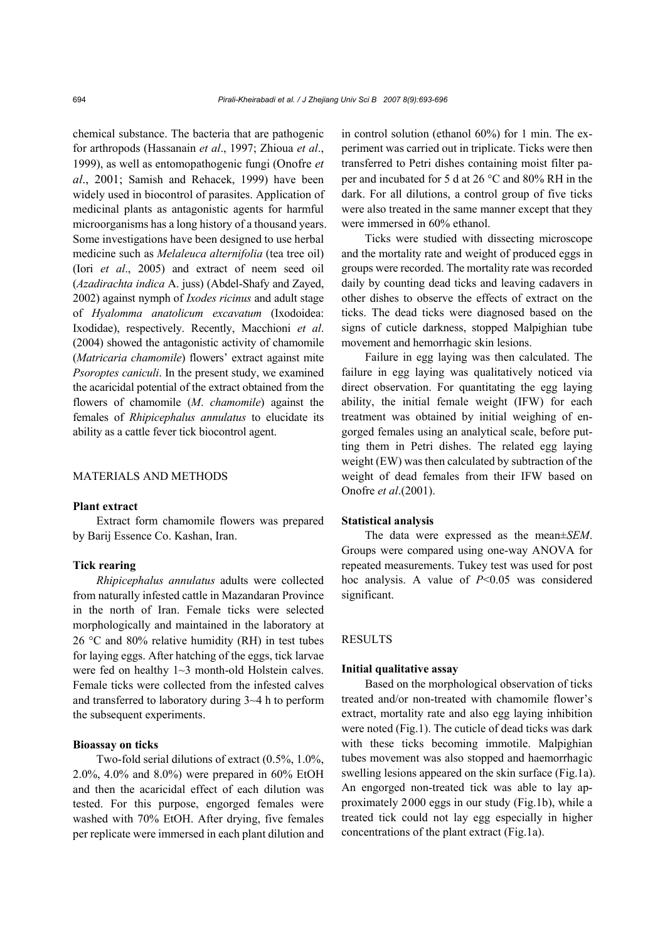chemical substance. The bacteria that are pathogenic for arthropods (Hassanain *et al*., 1997; Zhioua *et al*., 1999), as well as entomopathogenic fungi (Onofre *et al*., 2001; Samish and Rehacek, 1999) have been widely used in biocontrol of parasites. Application of medicinal plants as antagonistic agents for harmful microorganisms has a long history of a thousand years. Some investigations have been designed to use herbal medicine such as *Melaleuca alternifolia* (tea tree oil) (Iori *et al*., 2005) and extract of neem seed oil (*Azadirachta indica* A. juss) (Abdel-Shafy and Zayed, 2002) against nymph of *Ixodes ricinus* and adult stage of *Hyalomma anatolicum excavatum* (Ixodoidea: Ixodidae), respectively. Recently, Macchioni *et al*. (2004) showed the antagonistic activity of chamomile (*Matricaria chamomile*) flowers' extract against mite *Psoroptes caniculi*. In the present study, we examined the acaricidal potential of the extract obtained from the flowers of chamomile (*M*. *chamomile*) against the females of *Rhipicephalus annulatus* to elucidate its ability as a cattle fever tick biocontrol agent.

# MATERIALS AND METHODS

## **Plant extract**

Extract form chamomile flowers was prepared by Barij Essence Co. Kashan, Iran.

## **Tick rearing**

*Rhipicephalus annulatus* adults were collected from naturally infested cattle in Mazandaran Province in the north of Iran. Female ticks were selected morphologically and maintained in the laboratory at 26 °C and 80% relative humidity (RH) in test tubes for laying eggs. After hatching of the eggs, tick larvae were fed on healthy 1~3 month-old Holstein calves. Female ticks were collected from the infested calves and transferred to laboratory during 3~4 h to perform the subsequent experiments.

## **Bioassay on ticks**

Two-fold serial dilutions of extract (0.5%, 1.0%, 2.0%, 4.0% and 8.0%) were prepared in 60% EtOH and then the acaricidal effect of each dilution was tested. For this purpose, engorged females were washed with 70% EtOH. After drying, five females per replicate were immersed in each plant dilution and in control solution (ethanol 60%) for 1 min. The experiment was carried out in triplicate. Ticks were then transferred to Petri dishes containing moist filter paper and incubated for 5 d at 26 °C and 80% RH in the dark. For all dilutions, a control group of five ticks were also treated in the same manner except that they were immersed in 60% ethanol.

Ticks were studied with dissecting microscope and the mortality rate and weight of produced eggs in groups were recorded. The mortality rate was recorded daily by counting dead ticks and leaving cadavers in other dishes to observe the effects of extract on the ticks. The dead ticks were diagnosed based on the signs of cuticle darkness, stopped Malpighian tube movement and hemorrhagic skin lesions.

Failure in egg laying was then calculated. The failure in egg laying was qualitatively noticed via direct observation. For quantitating the egg laying ability, the initial female weight (IFW) for each treatment was obtained by initial weighing of engorged females using an analytical scale, before putting them in Petri dishes. The related egg laying weight (EW) was then calculated by subtraction of the weight of dead females from their IFW based on Onofre *et al*.(2001).

# **Statistical analysis**

The data were expressed as the mean±*SEM*. Groups were compared using one-way ANOVA for repeated measurements. Tukey test was used for post hoc analysis. A value of *P*<0.05 was considered significant.

#### RESULTS

### **Initial qualitative assay**

Based on the morphological observation of ticks treated and/or non-treated with chamomile flower's extract, mortality rate and also egg laying inhibition were noted (Fig.1). The cuticle of dead ticks was dark with these ticks becoming immotile. Malpighian tubes movement was also stopped and haemorrhagic swelling lesions appeared on the skin surface (Fig.1a). An engorged non-treated tick was able to lay approximately 2000 eggs in our study (Fig.1b), while a treated tick could not lay egg especially in higher concentrations of the plant extract (Fig.1a).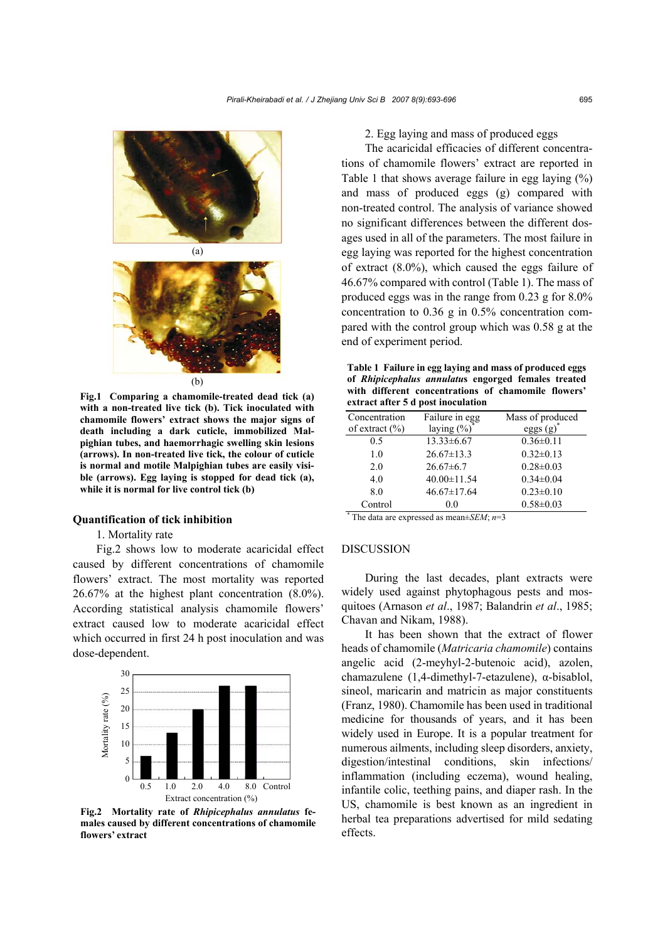

**Fig.1 Comparing a chamomile-treated dead tick (a) with a non-treated live tick (b). Tick inoculated with chamomile flowers' extract shows the major signs of death including a dark cuticle, immobilized Malpighian tubes, and haemorrhagic swelling skin lesions (arrows). In non-treated live tick, the colour of cuticle is normal and motile Malpighian tubes are easily visible (arrows). Egg laying is stopped for dead tick (a), while it is normal for live control tick (b)** 

#### **Quantification of tick inhibition**

# 1. Mortality rate

Fig.2 shows low to moderate acaricidal effect caused by different concentrations of chamomile flowers' extract. The most mortality was reported 26.67% at the highest plant concentration (8.0%). According statistical analysis chamomile flowers' extract caused low to moderate acaricidal effect which occurred in first 24 h post inoculation and was dose-dependent.



**Fig.2 Mortality rate of** *Rhipicephalus annulatus* **females caused by different concentrations of chamomile flowers' extract** 

2. Egg laying and mass of produced eggs

The acaricidal efficacies of different concentrations of chamomile flowers' extract are reported in Table 1 that shows average failure in egg laying  $(\%)$ and mass of produced eggs (g) compared with non-treated control. The analysis of variance showed no significant differences between the different dosages used in all of the parameters. The most failure in egg laying was reported for the highest concentration of extract (8.0%), which caused the eggs failure of 46.67% compared with control (Table 1). The mass of produced eggs was in the range from 0.23 g for 8.0% concentration to 0.36 g in 0.5% concentration compared with the control group which was 0.58 g at the end of experiment period.

**Table 1 Failure in egg laying and mass of produced eggs of** *Rhipicephalus annulatu***s engorged females treated with different concentrations of chamomile flowers' extract after 5 d post inoculation** 

| Concentration                                      | Failure in egg    | Mass of produced |
|----------------------------------------------------|-------------------|------------------|
| of extract $(\% )$                                 | laying $(\%)$     | eggs(g)          |
| 0.5                                                | $13.33 \pm 6.67$  | $0.36 \pm 0.11$  |
| 1.0                                                | $26.67 \pm 13.3$  | $0.32 \pm 0.13$  |
| 2.0                                                | $26.67\pm 6.7$    | $0.28 \pm 0.03$  |
| 4.0                                                | $40.00 \pm 11.54$ | $0.34 \pm 0.04$  |
| 8.0                                                | $46.67 \pm 17.64$ | $0.23 \pm 0.10$  |
| Control                                            | 0.0               | $0.58 \pm 0.03$  |
| The data are expressed as mean± <i>SEM</i> ; $n=3$ |                   |                  |

## **DISCUSSION**

During the last decades, plant extracts were widely used against phytophagous pests and mosquitoes (Arnason *et al*., 1987; Balandrin *et al*., 1985; Chavan and Nikam, 1988).

It has been shown that the extract of flower heads of chamomile (*Matricaria chamomile*) contains angelic acid (2-meyhyl-2-butenoic acid), azolen, chamazulene (1,4-dimethyl-7-etazulene), α-bisablol, sineol, maricarin and matricin as major constituents (Franz, 1980). Chamomile has been used in traditional medicine for thousands of years, and it has been widely used in Europe. It is a popular treatment for numerous ailments, including sleep disorders, anxiety, digestion/intestinal conditions, skin infections/ inflammation (including eczema), wound healing, infantile colic, teething pains, and diaper rash. In the US, chamomile is best known as an ingredient in herbal tea preparations advertised for mild sedating effects.